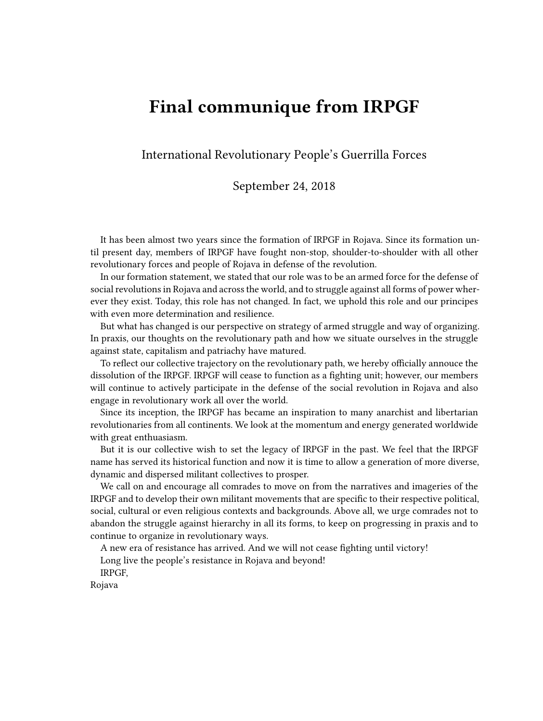## **Final communique from IRPGF**

International Revolutionary People's Guerrilla Forces

## September 24, 2018

It has been almost two years since the formation of IRPGF in Rojava. Since its formation until present day, members of IRPGF have fought non-stop, shoulder-to-shoulder with all other revolutionary forces and people of Rojava in defense of the revolution.

In our formation statement, we stated that our role was to be an armed force for the defense of social revolutions in Rojava and across the world, and to struggle against all forms of power wherever they exist. Today, this role has not changed. In fact, we uphold this role and our principes with even more determination and resilience.

But what has changed is our perspective on strategy of armed struggle and way of organizing. In praxis, our thoughts on the revolutionary path and how we situate ourselves in the struggle against state, capitalism and patriachy have matured.

To reflect our collective trajectory on the revolutionary path, we hereby officially annouce the dissolution of the IRPGF. IRPGF will cease to function as a fighting unit; however, our members will continue to actively participate in the defense of the social revolution in Rojava and also engage in revolutionary work all over the world.

Since its inception, the IRPGF has became an inspiration to many anarchist and libertarian revolutionaries from all continents. We look at the momentum and energy generated worldwide with great enthuasiasm.

But it is our collective wish to set the legacy of IRPGF in the past. We feel that the IRPGF name has served its historical function and now it is time to allow a generation of more diverse, dynamic and dispersed militant collectives to prosper.

We call on and encourage all comrades to move on from the narratives and imageries of the IRPGF and to develop their own militant movements that are specific to their respective political, social, cultural or even religious contexts and backgrounds. Above all, we urge comrades not to abandon the struggle against hierarchy in all its forms, to keep on progressing in praxis and to continue to organize in revolutionary ways.

A new era of resistance has arrived. And we will not cease fighting until victory!

Long live the people's resistance in Rojava and beyond!

IRPGF,

Rojava